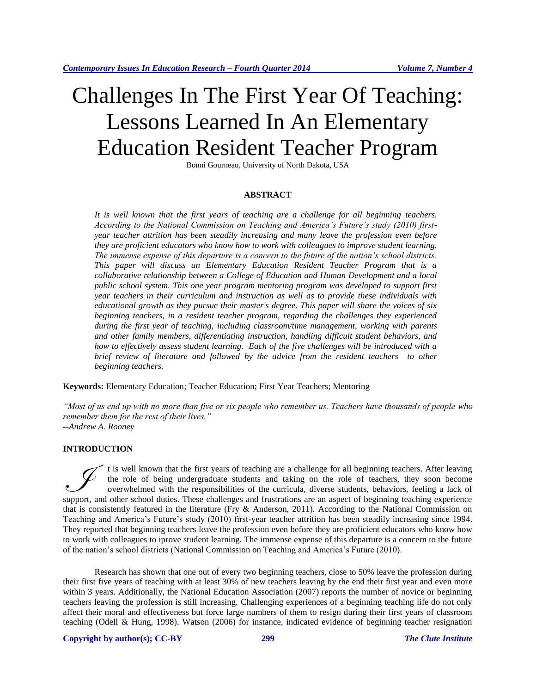# Challenges In The First Year Of Teaching: Lessons Learned In An Elementary Education Resident Teacher Program

Bonni Gourneau, University of North Dakota, USA

#### **ABSTRACT**

*It is well known that the first years of teaching are a challenge for all beginning teachers. According to the National Commission on Teaching and America's Future's study (2010) firstyear teacher attrition has been steadily increasing and many leave the profession even before they are proficient educators who know how to work with colleagues to improve student learning. The immense expense of this departure is a concern to the future of the nation's school districts. This paper will discuss an Elementary Education Resident Teacher Program that is a collaborative relationship between a College of Education and Human Development and a local public school system. This one year program mentoring program was developed to support first year teachers in their curriculum and instruction as well as to provide these individuals with educational growth as they pursue their master's degree. This paper will share the voices of six beginning teachers, in a resident teacher program, regarding the challenges they experienced during the first year of teaching, including classroom/time management, working with parents and other family members, differentiating instruction, handling difficult student behaviors, and how to effectively assess student learning. Each of the five challenges will be introduced with a brief review of literature and followed by the advice from the resident teachers to other beginning teachers.* 

**Keywords:** Elementary Education; Teacher Education; First Year Teachers; Mentoring

*"Most of us end up with no more than five or six people who remember us. Teachers have thousands of people who remember them for the rest of their lives." --Andrew A. Rooney*

# **INTRODUCTION**

t is well known that the first years of teaching are a challenge for all beginning teachers. After leaving the role of being undergraduate students and taking on the role of teachers, they soon become overwhelmed with the responsibilities of the curricula, diverse students, behaviors, feeling a lack of It is well known that the first years of teaching are a challenge for all beginning teachers. After leaving the role of being undergraduate students and taking on the role of teachers, they soon become overwhelmed with the that is consistently featured in the literature (Fry & Anderson, 2011). According to the National Commission on Teaching and America's Future's study (2010) first-year teacher attrition has been steadily increasing since 1994. They reported that beginning teachers leave the profession even before they are proficient educators who know how to work with colleagues to iprove student learning. The immense expense of this departure is a concern to the future of the nation's school districts (National Commission on Teaching and America's Future (2010).

Research has shown that one out of every two beginning teachers, close to 50% leave the profession during their first five years of teaching with at least 30% of new teachers leaving by the end their first year and even more within 3 years. Additionally, the National Education Association (2007) reports the number of novice or beginning teachers leaving the profession is still increasing. Challenging experiences of a beginning teaching life do not only affect their moral and effectiveness but force large numbers of them to resign during their first years of classroom teaching (Odell & Hung, 1998). Watson (2006) for instance, indicated evidence of beginning teacher resignation

#### **Copyright by author(s)[; CC-BY](http://creativecommons.org/licenses/by/3.0/) 299** *[The Clute Institute](http://www.cluteinstitute.com/)*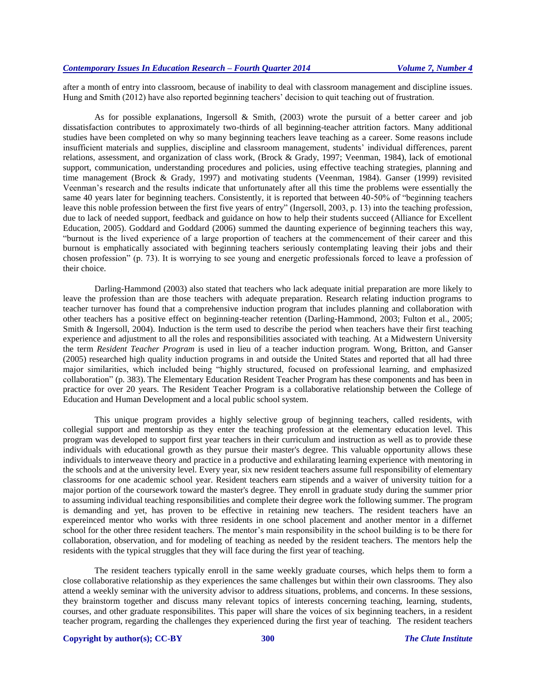after a month of entry into classroom, because of inability to deal with classroom management and discipline issues. Hung and Smith (2012) have also reported beginning teachers' decision to quit teaching out of frustration.

As for possible explanations, Ingersoll & Smith, (2003) wrote the pursuit of a better career and job dissatisfaction contributes to approximately two-thirds of all beginning-teacher attrition factors. Many additional studies have been completed on why so many beginning teachers leave teaching as a career. Some reasons include insufficient materials and supplies, discipline and classroom management, students' individual differences, parent relations, assessment, and organization of class work, (Brock & Grady, 1997; Veenman, 1984), lack of emotional support, communication, understanding procedures and policies, using effective teaching strategies, planning and time management (Brock & Grady, 1997) and motivating students (Veenman, 1984). Ganser (1999) revisited Veenman's research and the results indicate that unfortunately after all this time the problems were essentially the same 40 years later for beginning teachers. Consistently, it is reported that between 40-50% of "beginning teachers" leave this noble profession between the first five years of entry" (Ingersoll, 2003, p. 13) into the teaching profession, due to lack of needed support, feedback and guidance on how to help their students succeed (Alliance for Excellent Education, 2005). Goddard and Goddard (2006) summed the daunting experience of beginning teachers this way, "burnout is the lived experience of a large proportion of teachers at the commencement of their career and this burnout is emphatically associated with beginning teachers seriously contemplating leaving their jobs and their chosen profession" (p. 73). It is worrying to see young and energetic professionals forced to leave a profession of their choice.

Darling-Hammond (2003) also stated that teachers who lack adequate initial preparation are more likely to leave the profession than are those teachers with adequate preparation. Research relating induction programs to teacher turnover has found that a comprehensive induction program that includes planning and collaboration with other teachers has a positive effect on beginning-teacher retention (Darling-Hammond, 2003; Fulton et al., 2005; Smith & Ingersoll, 2004). Induction is the term used to describe the period when teachers have their first teaching experience and adjustment to all the roles and responsibilities associated with teaching. At a Midwestern University the term *Resident Teacher Program* is used in lieu of a teacher induction program. Wong, Britton, and Ganser (2005) researched high quality induction programs in and outside the United States and reported that all had three major similarities, which included being "highly structured, focused on professional learning, and emphasized collaboration" (p. 383). The Elementary Education Resident Teacher Program has these components and has been in practice for over 20 years. The Resident Teacher Program is a collaborative relationship between the College of Education and Human Development and a local public school system.

This unique program provides a highly selective group of beginning teachers, called residents, with collegial support and mentorship as they enter the teaching profession at the elementary education level. This program was developed to support first year teachers in their curriculum and instruction as well as to provide these individuals with educational growth as they pursue their master's degree. This valuable opportunity allows these individuals to interweave theory and practice in a productive and exhilarating learning experience with mentoring in the schools and at the university level. Every year, six new resident teachers assume full responsibility of elementary classrooms for one academic school year. Resident teachers earn stipends and a waiver of university tuition for a major portion of the coursework toward the master's degree. They enroll in graduate study during the summer prior to assuming individual teaching responsibilities and complete their degree work the following summer. The program is demanding and yet, has proven to be effective in retaining new teachers. The resident teachers have an expereinced mentor who works with three residents in one school placement and another mentor in a differnet school for the other three resident teachers. The mentor's main responsibility in the school building is to be there for collaboration, observation, and for modeling of teaching as needed by the resident teachers. The mentors help the residents with the typical struggles that they will face during the first year of teaching.

The resident teachers typically enroll in the same weekly graduate courses, which helps them to form a close collaborative relationship as they experiences the same challenges but within their own classrooms. They also attend a weekly seminar with the university advisor to address situations, problems, and concerns. In these sessions, they brainstorm together and discuss many relevant topics of interests concerning teaching, learning, students, courses, and other graduate responsibilites. This paper will share the voices of six beginning teachers, in a resident teacher program, regarding the challenges they experienced during the first year of teaching. The resident teachers

#### **Copyright by author(s)[; CC-BY](http://creativecommons.org/licenses/by/3.0/) 300** *[The Clute Institute](http://www.cluteinstitute.com/)*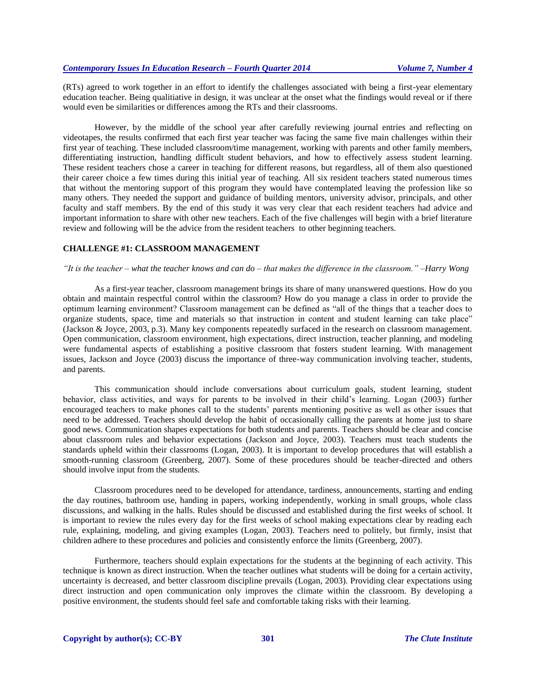(RTs) agreed to work together in an effort to identify the challenges associated with being a first-year elementary education teacher. Being qualitiative in design, it was unclear at the onset what the findings would reveal or if there would even be similarities or differences among the RTs and their classrooms.

However, by the middle of the school year after carefully reviewing journal entries and reflecting on videotapes, the results confirmed that each first year teacher was facing the same five main challenges within their first year of teaching. These included classroom/time management, working with parents and other family members, differentiating instruction, handling difficult student behaviors, and how to effectively assess student learning. These resident teachers chose a career in teaching for different reasons, but regardless, all of them also questioned their career choice a few times during this initial year of teaching. All six resident teachers stated numerous times that without the mentoring support of this program they would have contemplated leaving the profession like so many others. They needed the support and guidance of building mentors, university advisor, principals, and other faculty and staff members. By the end of this study it was very clear that each resident teachers had advice and important information to share with other new teachers. Each of the five challenges will begin with a brief literature review and following will be the advice from the resident teachers to other beginning teachers.

#### **CHALLENGE #1: CLASSROOM MANAGEMENT**

#### *"It is the teacher – what the teacher knows and can do – that makes the difference in the classroom." –Harry Wong*

As a first-year teacher, classroom management brings its share of many unanswered questions. How do you obtain and maintain respectful control within the classroom? How do you manage a class in order to provide the optimum learning environment? Classroom management can be defined as "all of the things that a teacher does to organize students, space, time and materials so that instruction in content and student learning can take place" (Jackson & Joyce, 2003, p.3). Many key components repeatedly surfaced in the research on classroom management. Open communication, classroom environment, high expectations, direct instruction, teacher planning, and modeling were fundamental aspects of establishing a positive classroom that fosters student learning. With management issues, Jackson and Joyce (2003) discuss the importance of three-way communication involving teacher, students, and parents.

This communication should include conversations about curriculum goals, student learning, student behavior, class activities, and ways for parents to be involved in their child's learning. Logan (2003) further encouraged teachers to make phones call to the students' parents mentioning positive as well as other issues that need to be addressed. Teachers should develop the habit of occasionally calling the parents at home just to share good news. Communication shapes expectations for both students and parents. Teachers should be clear and concise about classroom rules and behavior expectations (Jackson and Joyce, 2003). Teachers must teach students the standards upheld within their classrooms (Logan, 2003). It is important to develop procedures that will establish a smooth-running classroom (Greenberg, 2007). Some of these procedures should be teacher-directed and others should involve input from the students.

Classroom procedures need to be developed for attendance, tardiness, announcements, starting and ending the day routines, bathroom use, handing in papers, working independently, working in small groups, whole class discussions, and walking in the halls. Rules should be discussed and established during the first weeks of school. It is important to review the rules every day for the first weeks of school making expectations clear by reading each rule, explaining, modeling, and giving examples (Logan, 2003). Teachers need to politely, but firmly, insist that children adhere to these procedures and policies and consistently enforce the limits (Greenberg, 2007).

Furthermore, teachers should explain expectations for the students at the beginning of each activity. This technique is known as direct instruction. When the teacher outlines what students will be doing for a certain activity, uncertainty is decreased, and better classroom discipline prevails (Logan, 2003). Providing clear expectations using direct instruction and open communication only improves the climate within the classroom. By developing a positive environment, the students should feel safe and comfortable taking risks with their learning.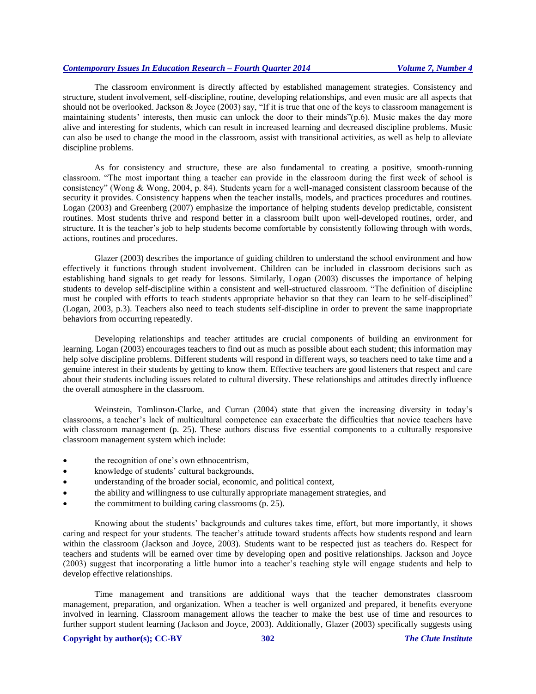The classroom environment is directly affected by established management strategies. Consistency and structure, student involvement, self-discipline, routine, developing relationships, and even music are all aspects that should not be overlooked. Jackson & Joyce (2003) say, "If it is true that one of the keys to classroom management is maintaining students' interests, then music can unlock the door to their minds"(p.6). Music makes the day more alive and interesting for students, which can result in increased learning and decreased discipline problems. Music can also be used to change the mood in the classroom, assist with transitional activities, as well as help to alleviate discipline problems.

As for consistency and structure, these are also fundamental to creating a positive, smooth-running classroom. "The most important thing a teacher can provide in the classroom during the first week of school is consistency" (Wong & Wong, 2004, p. 84). Students yearn for a well-managed consistent classroom because of the security it provides. Consistency happens when the teacher installs, models, and practices procedures and routines. Logan (2003) and Greenberg (2007) emphasize the importance of helping students develop predictable, consistent routines. Most students thrive and respond better in a classroom built upon well-developed routines, order, and structure. It is the teacher's job to help students become comfortable by consistently following through with words, actions, routines and procedures.

Glazer (2003) describes the importance of guiding children to understand the school environment and how effectively it functions through student involvement. Children can be included in classroom decisions such as establishing hand signals to get ready for lessons. Similarly, Logan (2003) discusses the importance of helping students to develop self-discipline within a consistent and well-structured classroom. "The definition of discipline must be coupled with efforts to teach students appropriate behavior so that they can learn to be self-disciplined" (Logan, 2003, p.3). Teachers also need to teach students self-discipline in order to prevent the same inappropriate behaviors from occurring repeatedly.

Developing relationships and teacher attitudes are crucial components of building an environment for learning. Logan (2003) encourages teachers to find out as much as possible about each student; this information may help solve discipline problems. Different students will respond in different ways, so teachers need to take time and a genuine interest in their students by getting to know them. Effective teachers are good listeners that respect and care about their students including issues related to cultural diversity. These relationships and attitudes directly influence the overall atmosphere in the classroom.

Weinstein, Tomlinson-Clarke, and Curran (2004) state that given the increasing diversity in today's classrooms, a teacher's lack of multicultural competence can exacerbate the difficulties that novice teachers have with classroom management (p. 25). These authors discuss five essential components to a culturally responsive classroom management system which include:

- the recognition of one's own ethnocentrism,
- knowledge of students' cultural backgrounds,
- understanding of the broader social, economic, and political context,
- the ability and willingness to use culturally appropriate management strategies, and
- the commitment to building caring classrooms (p. 25).

Knowing about the students' backgrounds and cultures takes time, effort, but more importantly, it shows caring and respect for your students. The teacher's attitude toward students affects how students respond and learn within the classroom (Jackson and Joyce, 2003). Students want to be respected just as teachers do. Respect for teachers and students will be earned over time by developing open and positive relationships. Jackson and Joyce (2003) suggest that incorporating a little humor into a teacher's teaching style will engage students and help to develop effective relationships.

Time management and transitions are additional ways that the teacher demonstrates classroom management, preparation, and organization. When a teacher is well organized and prepared, it benefits everyone involved in learning. Classroom management allows the teacher to make the best use of time and resources to further support student learning (Jackson and Joyce, 2003). Additionally, Glazer (2003) specifically suggests using

## **Copyright by author(s)[; CC-BY](http://creativecommons.org/licenses/by/3.0/) 302** *[The Clute Institute](http://www.cluteinstitute.com/)*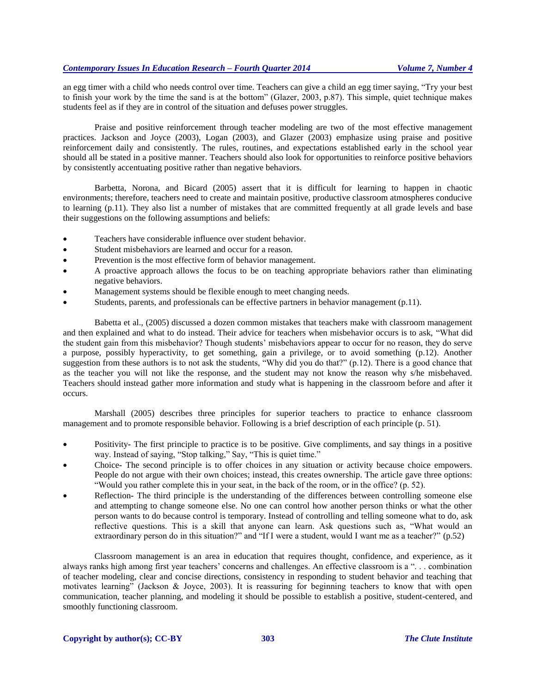an egg timer with a child who needs control over time. Teachers can give a child an egg timer saying, "Try your best to finish your work by the time the sand is at the bottom" (Glazer, 2003, p.87). This simple, quiet technique makes students feel as if they are in control of the situation and defuses power struggles.

Praise and positive reinforcement through teacher modeling are two of the most effective management practices. Jackson and Joyce (2003), Logan (2003), and Glazer (2003) emphasize using praise and positive reinforcement daily and consistently. The rules, routines, and expectations established early in the school year should all be stated in a positive manner. Teachers should also look for opportunities to reinforce positive behaviors by consistently accentuating positive rather than negative behaviors.

Barbetta, Norona, and Bicard (2005) assert that it is difficult for learning to happen in chaotic environments; therefore, teachers need to create and maintain positive, productive classroom atmospheres conducive to learning (p.11). They also list a number of mistakes that are committed frequently at all grade levels and base their suggestions on the following assumptions and beliefs:

- Teachers have considerable influence over student behavior.
- Student misbehaviors are learned and occur for a reason.
- Prevention is the most effective form of behavior management.
- A proactive approach allows the focus to be on teaching appropriate behaviors rather than eliminating negative behaviors.
- Management systems should be flexible enough to meet changing needs.
- Students, parents, and professionals can be effective partners in behavior management (p.11).

Babetta et al., (2005) discussed a dozen common mistakes that teachers make with classroom management and then explained and what to do instead. Their advice for teachers when misbehavior occurs is to ask, "What did the student gain from this misbehavior? Though students' misbehaviors appear to occur for no reason, they do serve a purpose, possibly hyperactivity, to get something, gain a privilege, or to avoid something (p.12). Another suggestion from these authors is to not ask the students, "Why did you do that?" (p.12). There is a good chance that as the teacher you will not like the response, and the student may not know the reason why s/he misbehaved. Teachers should instead gather more information and study what is happening in the classroom before and after it occurs.

Marshall (2005) describes three principles for superior teachers to practice to enhance classroom management and to promote responsible behavior. Following is a brief description of each principle (p. 51).

- Positivity**-** The first principle to practice is to be positive. Give compliments, and say things in a positive way. Instead of saying, "Stop talking," Say, "This is quiet time."
- Choice**-** The second principle is to offer choices in any situation or activity because choice empowers. People do not argue with their own choices; instead, this creates ownership. The article gave three options: "Would you rather complete this in your seat, in the back of the room, or in the office? (p. 52).
- Reflection**-** The third principle is the understanding of the differences between controlling someone else and attempting to change someone else. No one can control how another person thinks or what the other person wants to do because control is temporary. Instead of controlling and telling someone what to do, ask reflective questions. This is a skill that anyone can learn. Ask questions such as, "What would an extraordinary person do in this situation?" and "If I were a student, would I want me as a teacher?" (p.52)

Classroom management is an area in education that requires thought, confidence, and experience, as it always ranks high among first year teachers' concerns and challenges. An effective classroom is a ". . . combination of teacher modeling, clear and concise directions, consistency in responding to student behavior and teaching that motivates learning" (Jackson & Joyce, 2003). It is reassuring for beginning teachers to know that with open communication, teacher planning, and modeling it should be possible to establish a positive, student-centered, and smoothly functioning classroom.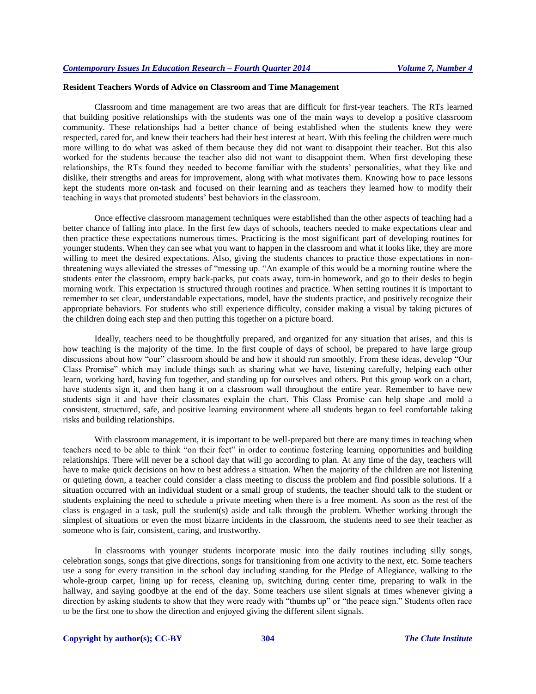# **Resident Teachers Words of Advice on Classroom and Time Management**

Classroom and time management are two areas that are difficult for first-year teachers. The RTs learned that building positive relationships with the students was one of the main ways to develop a positive classroom community. These relationships had a better chance of being established when the students knew they were respected, cared for, and knew their teachers had their best interest at heart. With this feeling the children were much more willing to do what was asked of them because they did not want to disappoint their teacher. But this also worked for the students because the teacher also did not want to disappoint them. When first developing these relationships, the RTs found they needed to become familiar with the students' personalities, what they like and dislike, their strengths and areas for improvement, along with what motivates them. Knowing how to pace lessons kept the students more on-task and focused on their learning and as teachers they learned how to modify their teaching in ways that promoted students' best behaviors in the classroom.

Once effective classroom management techniques were established than the other aspects of teaching had a better chance of falling into place. In the first few days of schools, teachers needed to make expectations clear and then practice these expectations numerous times. Practicing is the most significant part of developing routines for younger students. When they can see what you want to happen in the classroom and what it looks like, they are more willing to meet the desired expectations. Also, giving the students chances to practice those expectations in nonthreatening ways alleviated the stresses of "messing up. "An example of this would be a morning routine where the students enter the classroom, empty back-packs, put coats away, turn-in homework, and go to their desks to begin morning work. This expectation is structured through routines and practice. When setting routines it is important to remember to set clear, understandable expectations, model, have the students practice, and positively recognize their appropriate behaviors. For students who still experience difficulty, consider making a visual by taking pictures of the children doing each step and then putting this together on a picture board.

Ideally, teachers need to be thoughtfully prepared, and organized for any situation that arises, and this is how teaching is the majority of the time. In the first couple of days of school, be prepared to have large group discussions about how "our" classroom should be and how it should run smoothly. From these ideas, develop "Our Class Promise" which may include things such as sharing what we have, listening carefully, helping each other learn, working hard, having fun together, and standing up for ourselves and others. Put this group work on a chart, have students sign it, and then hang it on a classroom wall throughout the entire year. Remember to have new students sign it and have their classmates explain the chart. This Class Promise can help shape and mold a consistent, structured, safe, and positive learning environment where all students began to feel comfortable taking risks and building relationships.

With classroom management, it is important to be well-prepared but there are many times in teaching when teachers need to be able to think "on their feet" in order to continue fostering learning opportunities and building relationships. There will never be a school day that will go according to plan. At any time of the day, teachers will have to make quick decisions on how to best address a situation. When the majority of the children are not listening or quieting down, a teacher could consider a class meeting to discuss the problem and find possible solutions. If a situation occurred with an individual student or a small group of students, the teacher should talk to the student or students explaining the need to schedule a private meeting when there is a free moment. As soon as the rest of the class is engaged in a task, pull the student(s) aside and talk through the problem. Whether working through the simplest of situations or even the most bizarre incidents in the classroom, the students need to see their teacher as someone who is fair, consistent, caring, and trustworthy.

In classrooms with younger students incorporate music into the daily routines including silly songs, celebration songs, songs that give directions, songs for transitioning from one activity to the next, etc. Some teachers use a song for every transition in the school day including standing for the Pledge of Allegiance, walking to the whole-group carpet, lining up for recess, cleaning up, switching during center time, preparing to walk in the hallway, and saying goodbye at the end of the day. Some teachers use silent signals at times whenever giving a direction by asking students to show that they were ready with "thumbs up" or "the peace sign." Students often race to be the first one to show the direction and enjoyed giving the different silent signals.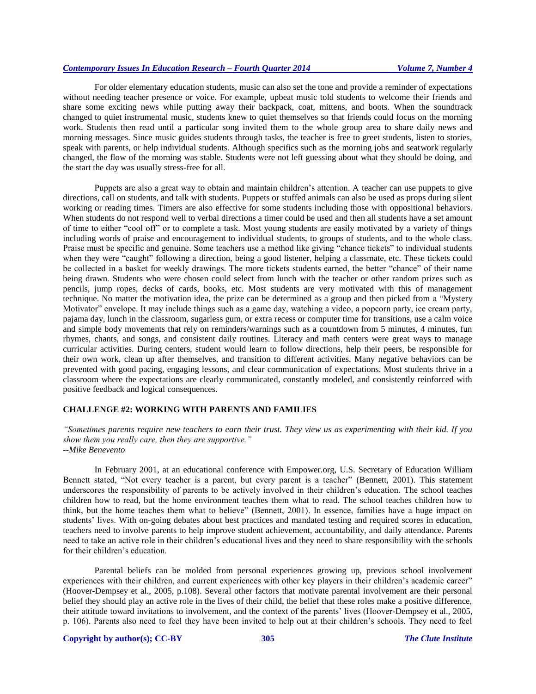For older elementary education students, music can also set the tone and provide a reminder of expectations without needing teacher presence or voice. For example, upbeat music told students to welcome their friends and share some exciting news while putting away their backpack, coat, mittens, and boots. When the soundtrack changed to quiet instrumental music, students knew to quiet themselves so that friends could focus on the morning work. Students then read until a particular song invited them to the whole group area to share daily news and morning messages. Since music guides students through tasks, the teacher is free to greet students, listen to stories, speak with parents, or help individual students. Although specifics such as the morning jobs and seatwork regularly changed, the flow of the morning was stable. Students were not left guessing about what they should be doing, and the start the day was usually stress-free for all.

Puppets are also a great way to obtain and maintain children's attention. A teacher can use puppets to give directions, call on students, and talk with students. Puppets or stuffed animals can also be used as props during silent working or reading times. Timers are also effective for some students including those with oppositional behaviors. When students do not respond well to verbal directions a timer could be used and then all students have a set amount of time to either "cool off" or to complete a task. Most young students are easily motivated by a variety of things including words of praise and encouragement to individual students, to groups of students, and to the whole class. Praise must be specific and genuine. Some teachers use a method like giving "chance tickets" to individual students when they were "caught" following a direction, being a good listener, helping a classmate, etc. These tickets could be collected in a basket for weekly drawings. The more tickets students earned, the better "chance" of their name being drawn. Students who were chosen could select from lunch with the teacher or other random prizes such as pencils, jump ropes, decks of cards, books, etc. Most students are very motivated with this of management technique. No matter the motivation idea, the prize can be determined as a group and then picked from a "Mystery Motivator" envelope. It may include things such as a game day, watching a video, a popcorn party, ice cream party, pajama day, lunch in the classroom, sugarless gum, or extra recess or computer time for transitions, use a calm voice and simple body movements that rely on reminders/warnings such as a countdown from 5 minutes, 4 minutes, fun rhymes, chants, and songs, and consistent daily routines. Literacy and math centers were great ways to manage curricular activities. During centers, student would learn to follow directions, help their peers, be responsible for their own work, clean up after themselves, and transition to different activities. Many negative behaviors can be prevented with good pacing, engaging lessons, and clear communication of expectations. Most students thrive in a classroom where the expectations are clearly communicated, constantly modeled, and consistently reinforced with positive feedback and logical consequences.

# **CHALLENGE #2: WORKING WITH PARENTS AND FAMILIES**

*"Sometimes parents require new teachers to earn their trust. They view us as experimenting with their kid. If you show them you really care, then they are supportive." --Mike Benevento*

In February 2001, at an educational conference with Empower.org, U.S. Secretary of Education William Bennett stated, "Not every teacher is a parent, but every parent is a teacher" (Bennett, 2001). This statement underscores the responsibility of parents to be actively involved in their children's education. The school teaches children how to read, but the home environment teaches them what to read. The school teaches children how to think, but the home teaches them what to believe" (Bennett, 2001). In essence, families have a huge impact on students' lives. With on-going debates about best practices and mandated testing and required scores in education, teachers need to involve parents to help improve student achievement, accountability, and daily attendance. Parents need to take an active role in their children's educational lives and they need to share responsibility with the schools for their children's education.

Parental beliefs can be molded from personal experiences growing up, previous school involvement experiences with their children, and current experiences with other key players in their children's academic career" (Hoover-Dempsey et al., 2005, p.108). Several other factors that motivate parental involvement are their personal belief they should play an active role in the lives of their child, the belief that these roles make a positive difference, their attitude toward invitations to involvement, and the context of the parents' lives (Hoover-Dempsey et al., 2005, p. 106). Parents also need to feel they have been invited to help out at their children's schools. They need to feel

# **Copyright by author(s)[; CC-BY](http://creativecommons.org/licenses/by/3.0/) 305** *[The Clute Institute](http://www.cluteinstitute.com/)*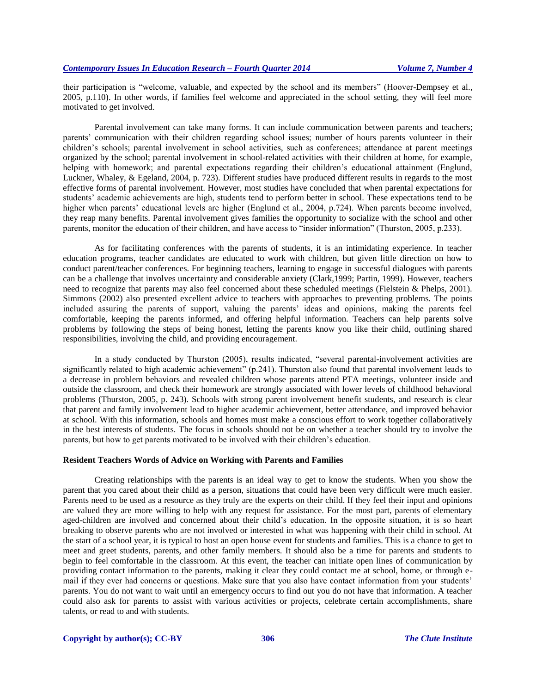their participation is "welcome, valuable, and expected by the school and its members" (Hoover-Dempsey et al., 2005, p.110). In other words, if families feel welcome and appreciated in the school setting, they will feel more motivated to get involved.

Parental involvement can take many forms. It can include communication between parents and teachers; parents' communication with their children regarding school issues; number of hours parents volunteer in their children's schools; parental involvement in school activities, such as conferences; attendance at parent meetings organized by the school; parental involvement in school-related activities with their children at home, for example, helping with homework; and parental expectations regarding their children's educational attainment (Englund, Luckner, Whaley, & Egeland, 2004, p. 723). Different studies have produced different results in regards to the most effective forms of parental involvement. However, most studies have concluded that when parental expectations for students' academic achievements are high, students tend to perform better in school. These expectations tend to be higher when parents' educational levels are higher (Englund et al., 2004, p.724). When parents become involved, they reap many benefits. Parental involvement gives families the opportunity to socialize with the school and other parents, monitor the education of their children, and have access to "insider information" (Thurston, 2005, p.233).

As for facilitating conferences with the parents of students, it is an intimidating experience. In teacher education programs, teacher candidates are educated to work with children, but given little direction on how to conduct parent/teacher conferences. For beginning teachers, learning to engage in successful dialogues with parents can be a challenge that involves uncertainty and considerable anxiety (Clark,1999; Partin, 1999). However, teachers need to recognize that parents may also feel concerned about these scheduled meetings (Fielstein & Phelps, 2001). Simmons (2002) also presented excellent advice to teachers with approaches to preventing problems. The points included assuring the parents of support, valuing the parents' ideas and opinions, making the parents feel comfortable, keeping the parents informed, and offering helpful information. Teachers can help parents solve problems by following the steps of being honest, letting the parents know you like their child, outlining shared responsibilities, involving the child, and providing encouragement.

In a study conducted by Thurston (2005), results indicated, "several parental-involvement activities are significantly related to high academic achievement" (p.241). Thurston also found that parental involvement leads to a decrease in problem behaviors and revealed children whose parents attend PTA meetings, volunteer inside and outside the classroom, and check their homework are strongly associated with lower levels of childhood behavioral problems (Thurston, 2005, p. 243). Schools with strong parent involvement benefit students, and research is clear that parent and family involvement lead to higher academic achievement, better attendance, and improved behavior at school. With this information, schools and homes must make a conscious effort to work together collaboratively in the best interests of students. The focus in schools should not be on whether a teacher should try to involve the parents, but how to get parents motivated to be involved with their children's education.

#### **Resident Teachers Words of Advice on Working with Parents and Families**

Creating relationships with the parents is an ideal way to get to know the students. When you show the parent that you cared about their child as a person, situations that could have been very difficult were much easier. Parents need to be used as a resource as they truly are the experts on their child. If they feel their input and opinions are valued they are more willing to help with any request for assistance. For the most part, parents of elementary aged-children are involved and concerned about their child's education. In the opposite situation, it is so heart breaking to observe parents who are not involved or interested in what was happening with their child in school. At the start of a school year, it is typical to host an open house event for students and families. This is a chance to get to meet and greet students, parents, and other family members. It should also be a time for parents and students to begin to feel comfortable in the classroom. At this event, the teacher can initiate open lines of communication by providing contact information to the parents, making it clear they could contact me at school, home, or through email if they ever had concerns or questions. Make sure that you also have contact information from your students' parents. You do not want to wait until an emergency occurs to find out you do not have that information. A teacher could also ask for parents to assist with various activities or projects, celebrate certain accomplishments, share talents, or read to and with students.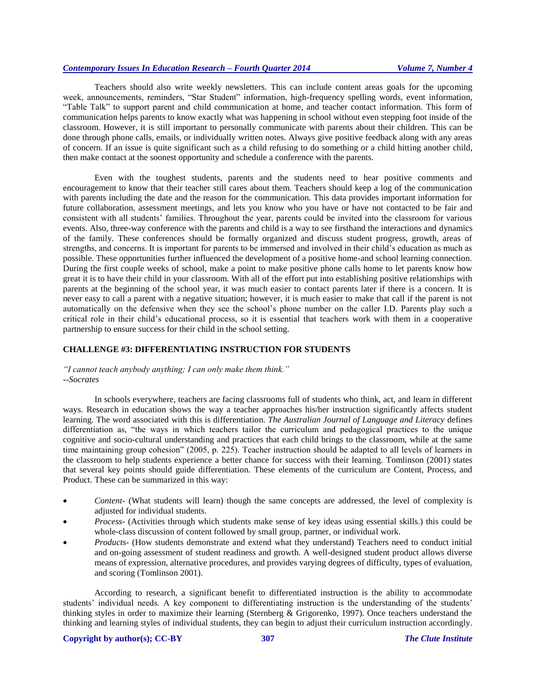Teachers should also write weekly newsletters. This can include content areas goals for the upcoming week, announcements, reminders, "Star Student" information, high-frequency spelling words, event information, "Table Talk" to support parent and child communication at home, and teacher contact information. This form of communication helps parents to know exactly what was happening in school without even stepping foot inside of the classroom. However, it is still important to personally communicate with parents about their children. This can be done through phone calls, emails, or individually written notes. Always give positive feedback along with any areas of concern. If an issue is quite significant such as a child refusing to do something or a child hitting another child, then make contact at the soonest opportunity and schedule a conference with the parents.

Even with the toughest students, parents and the students need to hear positive comments and encouragement to know that their teacher still cares about them. Teachers should keep a log of the communication with parents including the date and the reason for the communication. This data provides important information for future collaboration, assessment meetings, and lets you know who you have or have not contacted to be fair and consistent with all students' families. Throughout the year, parents could be invited into the classroom for various events. Also, three-way conference with the parents and child is a way to see firsthand the interactions and dynamics of the family. These conferences should be formally organized and discuss student progress, growth, areas of strengths, and concerns. It is important for parents to be immersed and involved in their child's education as much as possible. These opportunities further influenced the development of a positive home-and school learning connection. During the first couple weeks of school, make a point to make positive phone calls home to let parents know how great it is to have their child in your classroom. With all of the effort put into establishing positive relationships with parents at the beginning of the school year, it was much easier to contact parents later if there is a concern. It is never easy to call a parent with a negative situation; however, it is much easier to make that call if the parent is not automatically on the defensive when they see the school's phone number on the caller I.D. Parents play such a critical role in their child's educational process, so it is essential that teachers work with them in a cooperative partnership to ensure success for their child in the school setting.

#### **CHALLENGE #3: DIFFERENTIATING INSTRUCTION FOR STUDENTS**

## *"I cannot teach anybody anything; I can only make them think." --Socrates*

In schools everywhere, teachers are facing classrooms full of students who think, act, and learn in different ways. Research in education shows the way a teacher approaches his/her instruction significantly affects student learning. The word associated with this is differentiation. *The Australian Journal of Language and Literacy* defines differentiation as, "the ways in which teachers tailor the curriculum and pedagogical practices to the unique cognitive and socio-cultural understanding and practices that each child brings to the classroom, while at the same time maintaining group cohesion" (2005, p. 225). Teacher instruction should be adapted to all levels of learners in the classroom to help students experience a better chance for success with their learning. Tomlinson (2001) states that several key points should guide differentiation. These elements of the curriculum are Content, Process, and Product. These can be summarized in this way:

- *Content-* (What students will learn) though the same concepts are addressed, the level of complexity is adjusted for individual students.
- *Process-* (Activities through which students make sense of key ideas using essential skills.) this could be whole-class discussion of content followed by small group, partner, or individual work.
- *Products-* (How students demonstrate and extend what they understand) Teachers need to conduct initial and on-going assessment of student readiness and growth. A well-designed student product allows diverse means of expression, alternative procedures, and provides varying degrees of difficulty, types of evaluation, and scoring (Tomlinson 2001).

According to research, a significant benefit to differentiated instruction is the ability to accommodate students' individual needs. A key component to differentiating instruction is the understanding of the students' thinking styles in order to maximize their learning (Sternberg & Grigorenko, 1997). Once teachers understand the thinking and learning styles of individual students, they can begin to adjust their curriculum instruction accordingly.

#### **Copyright by author(s)[; CC-BY](http://creativecommons.org/licenses/by/3.0/) 307** *[The Clute Institute](http://www.cluteinstitute.com/)*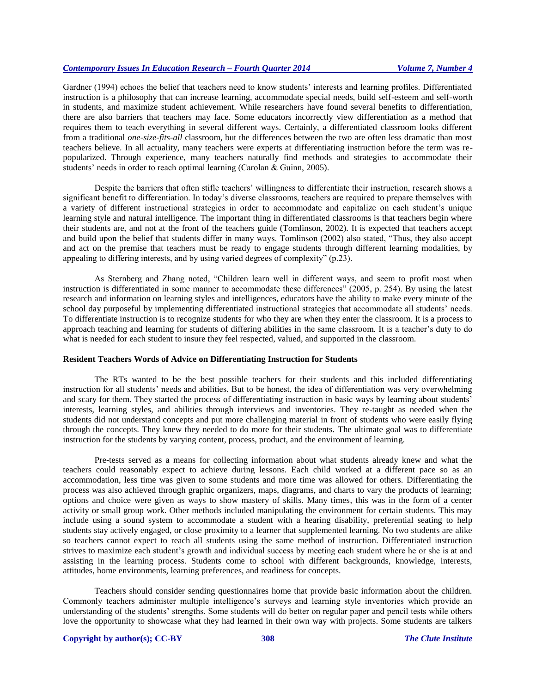Gardner (1994) echoes the belief that teachers need to know students' interests and learning profiles. Differentiated instruction is a philosophy that can increase learning, accommodate special needs, build self-esteem and self-worth in students, and maximize student achievement. While researchers have found several benefits to differentiation, there are also barriers that teachers may face. Some educators incorrectly view differentiation as a method that requires them to teach everything in several different ways. Certainly, a differentiated classroom looks different from a traditional *one-size-fits-all* classroom, but the differences between the two are often less dramatic than most teachers believe. In all actuality, many teachers were experts at differentiating instruction before the term was repopularized. Through experience, many teachers naturally find methods and strategies to accommodate their students' needs in order to reach optimal learning (Carolan & Guinn, 2005).

Despite the barriers that often stifle teachers' willingness to differentiate their instruction, research shows a significant benefit to differentiation. In today's diverse classrooms, teachers are required to prepare themselves with a variety of different instructional strategies in order to accommodate and capitalize on each student's unique learning style and natural intelligence. The important thing in differentiated classrooms is that teachers begin where their students are, and not at the front of the teachers guide (Tomlinson, 2002). It is expected that teachers accept and build upon the belief that students differ in many ways. Tomlinson (2002) also stated, "Thus, they also accept and act on the premise that teachers must be ready to engage students through different learning modalities, by appealing to differing interests, and by using varied degrees of complexity" (p.23).

As Sternberg and Zhang noted, "Children learn well in different ways, and seem to profit most when instruction is differentiated in some manner to accommodate these differences" (2005, p. 254). By using the latest research and information on learning styles and intelligences, educators have the ability to make every minute of the school day purposeful by implementing differentiated instructional strategies that accommodate all students' needs. To differentiate instruction is to recognize students for who they are when they enter the classroom. It is a process to approach teaching and learning for students of differing abilities in the same classroom. It is a teacher's duty to do what is needed for each student to insure they feel respected, valued, and supported in the classroom.

#### **Resident Teachers Words of Advice on Differentiating Instruction for Students**

The RTs wanted to be the best possible teachers for their students and this included differentiating instruction for all students' needs and abilities. But to be honest, the idea of differentiation was very overwhelming and scary for them. They started the process of differentiating instruction in basic ways by learning about students' interests, learning styles, and abilities through interviews and inventories. They re-taught as needed when the students did not understand concepts and put more challenging material in front of students who were easily flying through the concepts. They knew they needed to do more for their students. The ultimate goal was to differentiate instruction for the students by varying content, process, product, and the environment of learning.

Pre-tests served as a means for collecting information about what students already knew and what the teachers could reasonably expect to achieve during lessons. Each child worked at a different pace so as an accommodation, less time was given to some students and more time was allowed for others. Differentiating the process was also achieved through graphic organizers, maps, diagrams, and charts to vary the products of learning; options and choice were given as ways to show mastery of skills. Many times, this was in the form of a center activity or small group work. Other methods included manipulating the environment for certain students. This may include using a sound system to accommodate a student with a hearing disability, preferential seating to help students stay actively engaged, or close proximity to a learner that supplemented learning. No two students are alike so teachers cannot expect to reach all students using the same method of instruction. Differentiated instruction strives to maximize each student's growth and individual success by meeting each student where he or she is at and assisting in the learning process. Students come to school with different backgrounds, knowledge, interests, attitudes, home environments, learning preferences, and readiness for concepts.

Teachers should consider sending questionnaires home that provide basic information about the children. Commonly teachers administer multiple intelligence's surveys and learning style inventories which provide an understanding of the students' strengths. Some students will do better on regular paper and pencil tests while others love the opportunity to showcase what they had learned in their own way with projects. Some students are talkers

#### **Copyright by author(s)[; CC-BY](http://creativecommons.org/licenses/by/3.0/) 308** *[The Clute Institute](http://www.cluteinstitute.com/)*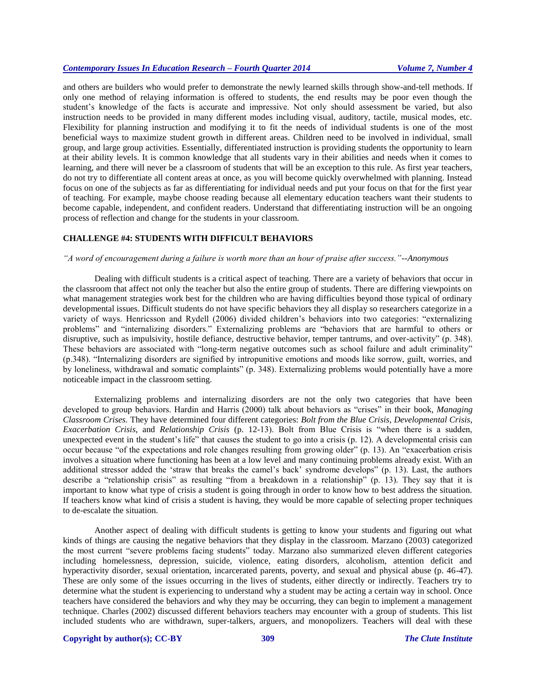and others are builders who would prefer to demonstrate the newly learned skills through show-and-tell methods. If only one method of relaying information is offered to students, the end results may be poor even though the student's knowledge of the facts is accurate and impressive. Not only should assessment be varied, but also instruction needs to be provided in many different modes including visual, auditory, tactile, musical modes, etc. Flexibility for planning instruction and modifying it to fit the needs of individual students is one of the most beneficial ways to maximize student growth in different areas. Children need to be involved in individual, small group, and large group activities. Essentially, differentiated instruction is providing students the opportunity to learn at their ability levels. It is common knowledge that all students vary in their abilities and needs when it comes to learning, and there will never be a classroom of students that will be an exception to this rule. As first year teachers, do not try to differentiate all content areas at once, as you will become quickly overwhelmed with planning. Instead focus on one of the subjects as far as differentiating for individual needs and put your focus on that for the first year of teaching. For example, maybe choose reading because all elementary education teachers want their students to become capable, independent, and confident readers. Understand that differentiating instruction will be an ongoing process of reflection and change for the students in your classroom.

## **CHALLENGE #4: STUDENTS WITH DIFFICULT BEHAVIORS**

#### *"A word of encouragement during a failure is worth more than an hour of praise after success."--Anonymous*

Dealing with difficult students is a critical aspect of teaching. There are a variety of behaviors that occur in the classroom that affect not only the teacher but also the entire group of students. There are differing viewpoints on what management strategies work best for the children who are having difficulties beyond those typical of ordinary developmental issues. Difficult students do not have specific behaviors they all display so researchers categorize in a variety of ways. Henricsson and Rydell (2006) divided children's behaviors into two categories: "externalizing problems" and "internalizing disorders." Externalizing problems are "behaviors that are harmful to others or disruptive, such as impulsivity, hostile defiance, destructive behavior, temper tantrums, and over-activity" (p. 348). These behaviors are associated with "long-term negative outcomes such as school failure and adult criminality" (p.348). "Internalizing disorders are signified by intropunitive emotions and moods like sorrow, guilt, worries, and by loneliness, withdrawal and somatic complaints" (p. 348). Externalizing problems would potentially have a more noticeable impact in the classroom setting.

Externalizing problems and internalizing disorders are not the only two categories that have been developed to group behaviors. Hardin and Harris (2000) talk about behaviors as "crises" in their book, *Managing Classroom Crises.* They have determined four different categories: *Bolt from the Blue Crisis*, *Developmental Crisis*, *Exacerbation Crisis*, and *Relationship Crisis* (p. 12-13). Bolt from Blue Crisis is "when there is a sudden, unexpected event in the student's life" that causes the student to go into a crisis (p. 12). A developmental crisis can occur because "of the expectations and role changes resulting from growing older" (p. 13). An "exacerbation crisis involves a situation where functioning has been at a low level and many continuing problems already exist. With an additional stressor added the 'straw that breaks the camel's back' syndrome develops" (p. 13). Last, the authors describe a "relationship crisis" as resulting "from a breakdown in a relationship" (p. 13). They say that it is important to know what type of crisis a student is going through in order to know how to best address the situation. If teachers know what kind of crisis a student is having, they would be more capable of selecting proper techniques to de-escalate the situation.

Another aspect of dealing with difficult students is getting to know your students and figuring out what kinds of things are causing the negative behaviors that they display in the classroom. Marzano (2003) categorized the most current "severe problems facing students" today. Marzano also summarized eleven different categories including homelessness, depression, suicide, violence, eating disorders, alcoholism, attention deficit and hyperactivity disorder, sexual orientation, incarcerated parents, poverty, and sexual and physical abuse (p. 46-47). These are only some of the issues occurring in the lives of students, either directly or indirectly. Teachers try to determine what the student is experiencing to understand why a student may be acting a certain way in school. Once teachers have considered the behaviors and why they may be occurring, they can begin to implement a management technique. Charles (2002) discussed different behaviors teachers may encounter with a group of students. This list included students who are withdrawn, super-talkers, arguers, and monopolizers. Teachers will deal with these

#### **Copyright by author(s)[; CC-BY](http://creativecommons.org/licenses/by/3.0/) 309** *[The Clute Institute](http://www.cluteinstitute.com/)*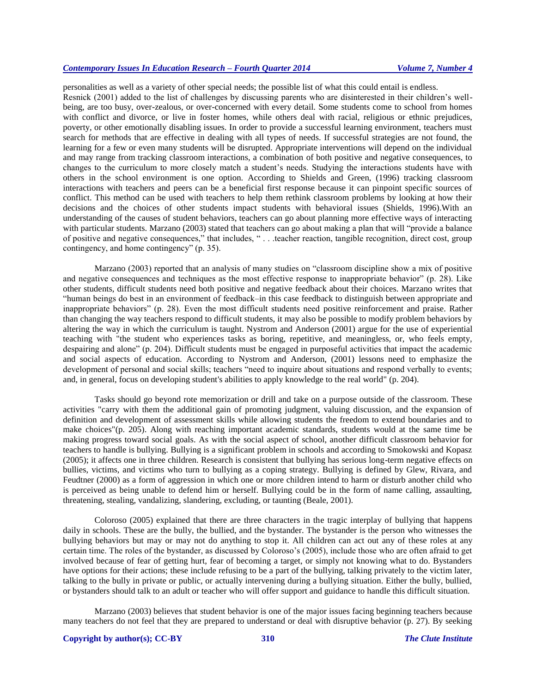personalities as well as a variety of other special needs; the possible list of what this could entail is endless. Resnick (2001) added to the list of challenges by discussing parents who are disinterested in their children's wellbeing, are too busy, over-zealous, or over-concerned with every detail. Some students come to school from homes with conflict and divorce, or live in foster homes, while others deal with racial, religious or ethnic prejudices, poverty, or other emotionally disabling issues. In order to provide a successful learning environment, teachers must search for methods that are effective in dealing with all types of needs. If successful strategies are not found, the learning for a few or even many students will be disrupted. Appropriate interventions will depend on the individual and may range from tracking classroom interactions, a combination of both positive and negative consequences, to changes to the curriculum to more closely match a student's needs. Studying the interactions students have with others in the school environment is one option. According to Shields and Green, (1996) tracking classroom interactions with teachers and peers can be a beneficial first response because it can pinpoint specific sources of conflict. This method can be used with teachers to help them rethink classroom problems by looking at how their decisions and the choices of other students impact students with behavioral issues (Shields, 1996).With an understanding of the causes of student behaviors, teachers can go about planning more effective ways of interacting with particular students. Marzano (2003) stated that teachers can go about making a plan that will "provide a balance of positive and negative consequences," that includes, " . . .teacher reaction, tangible recognition, direct cost, group contingency, and home contingency" (p. 35).

Marzano (2003) reported that an analysis of many studies on "classroom discipline show a mix of positive and negative consequences and techniques as the most effective response to inappropriate behavior" (p. 28). Like other students, difficult students need both positive and negative feedback about their choices. Marzano writes that "human beings do best in an environment of feedback–in this case feedback to distinguish between appropriate and inappropriate behaviors" (p. 28). Even the most difficult students need positive reinforcement and praise. Rather than changing the way teachers respond to difficult students, it may also be possible to modify problem behaviors by altering the way in which the curriculum is taught. Nystrom and Anderson (2001) argue for the use of experiential teaching with "the student who experiences tasks as boring, repetitive, and meaningless, or, who feels empty, despairing and alone" (p. 204). Difficult students must be engaged in purposeful activities that impact the academic and social aspects of education. According to Nystrom and Anderson, (2001) lessons need to emphasize the development of personal and social skills; teachers "need to inquire about situations and respond verbally to events; and, in general, focus on developing student's abilities to apply knowledge to the real world" (p. 204).

Tasks should go beyond rote memorization or drill and take on a purpose outside of the classroom. These activities "carry with them the additional gain of promoting judgment, valuing discussion, and the expansion of definition and development of assessment skills while allowing students the freedom to extend boundaries and to make choices"(p. 205). Along with reaching important academic standards, students would at the same time be making progress toward social goals. As with the social aspect of school, another difficult classroom behavior for teachers to handle is bullying. Bullying is a significant problem in schools and according to Smokowski and Kopasz (2005); it affects one in three children. Research is consistent that bullying has serious long-term negative effects on bullies, victims, and victims who turn to bullying as a coping strategy. Bullying is defined by Glew, Rivara, and Feudtner (2000) as a form of aggression in which one or more children intend to harm or disturb another child who is perceived as being unable to defend him or herself. Bullying could be in the form of name calling, assaulting, threatening, stealing, vandalizing, slandering, excluding, or taunting (Beale, 2001).

Coloroso (2005) explained that there are three characters in the tragic interplay of bullying that happens daily in schools. These are the bully, the bullied, and the bystander. The bystander is the person who witnesses the bullying behaviors but may or may not do anything to stop it. All children can act out any of these roles at any certain time. The roles of the bystander, as discussed by Coloroso's (2005), include those who are often afraid to get involved because of fear of getting hurt, fear of becoming a target, or simply not knowing what to do. Bystanders have options for their actions; these include refusing to be a part of the bullying, talking privately to the victim later, talking to the bully in private or public, or actually intervening during a bullying situation. Either the bully, bullied, or bystanders should talk to an adult or teacher who will offer support and guidance to handle this difficult situation.

Marzano (2003) believes that student behavior is one of the major issues facing beginning teachers because many teachers do not feel that they are prepared to understand or deal with disruptive behavior (p. 27). By seeking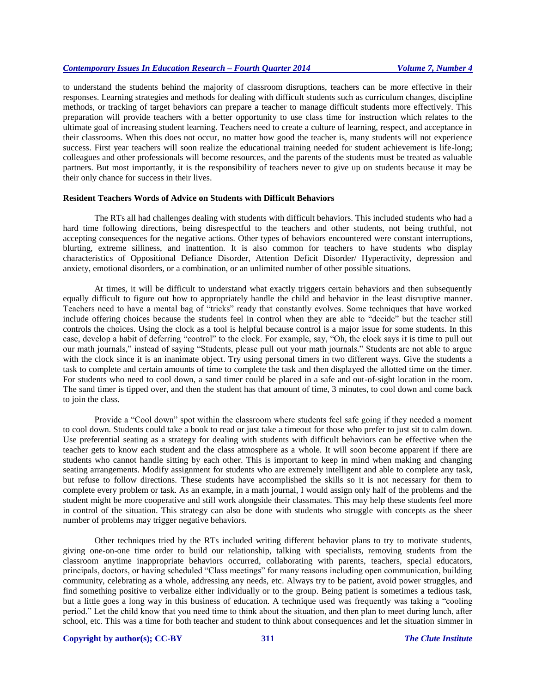to understand the students behind the majority of classroom disruptions, teachers can be more effective in their responses. Learning strategies and methods for dealing with difficult students such as curriculum changes, discipline methods, or tracking of target behaviors can prepare a teacher to manage difficult students more effectively. This preparation will provide teachers with a better opportunity to use class time for instruction which relates to the ultimate goal of increasing student learning. Teachers need to create a culture of learning, respect, and acceptance in their classrooms. When this does not occur, no matter how good the teacher is, many students will not experience success. First year teachers will soon realize the educational training needed for student achievement is life-long; colleagues and other professionals will become resources, and the parents of the students must be treated as valuable partners. But most importantly, it is the responsibility of teachers never to give up on students because it may be their only chance for success in their lives.

## **Resident Teachers Words of Advice on Students with Difficult Behaviors**

The RTs all had challenges dealing with students with difficult behaviors. This included students who had a hard time following directions, being disrespectful to the teachers and other students, not being truthful, not accepting consequences for the negative actions. Other types of behaviors encountered were constant interruptions, blurting, extreme silliness, and inattention. It is also common for teachers to have students who display characteristics of Oppositional Defiance Disorder, Attention Deficit Disorder/ Hyperactivity, depression and anxiety, emotional disorders, or a combination, or an unlimited number of other possible situations.

At times, it will be difficult to understand what exactly triggers certain behaviors and then subsequently equally difficult to figure out how to appropriately handle the child and behavior in the least disruptive manner. Teachers need to have a mental bag of "tricks" ready that constantly evolves. Some techniques that have worked include offering choices because the students feel in control when they are able to "decide" but the teacher still controls the choices. Using the clock as a tool is helpful because control is a major issue for some students. In this case, develop a habit of deferring "control" to the clock. For example, say, "Oh, the clock says it is time to pull out our math journals," instead of saying "Students, please pull out your math journals." Students are not able to argue with the clock since it is an inanimate object. Try using personal timers in two different ways. Give the students a task to complete and certain amounts of time to complete the task and then displayed the allotted time on the timer. For students who need to cool down, a sand timer could be placed in a safe and out-of-sight location in the room. The sand timer is tipped over, and then the student has that amount of time, 3 minutes, to cool down and come back to join the class.

Provide a "Cool down" spot within the classroom where students feel safe going if they needed a moment to cool down. Students could take a book to read or just take a timeout for those who prefer to just sit to calm down. Use preferential seating as a strategy for dealing with students with difficult behaviors can be effective when the teacher gets to know each student and the class atmosphere as a whole. It will soon become apparent if there are students who cannot handle sitting by each other. This is important to keep in mind when making and changing seating arrangements. Modify assignment for students who are extremely intelligent and able to complete any task, but refuse to follow directions. These students have accomplished the skills so it is not necessary for them to complete every problem or task. As an example, in a math journal, I would assign only half of the problems and the student might be more cooperative and still work alongside their classmates. This may help these students feel more in control of the situation. This strategy can also be done with students who struggle with concepts as the sheer number of problems may trigger negative behaviors.

Other techniques tried by the RTs included writing different behavior plans to try to motivate students, giving one-on-one time order to build our relationship, talking with specialists, removing students from the classroom anytime inappropriate behaviors occurred, collaborating with parents, teachers, special educators, principals, doctors, or having scheduled "Class meetings" for many reasons including open communication, building community, celebrating as a whole, addressing any needs, etc. Always try to be patient, avoid power struggles, and find something positive to verbalize either individually or to the group. Being patient is sometimes a tedious task, but a little goes a long way in this business of education. A technique used was frequently was taking a "cooling period." Let the child know that you need time to think about the situation, and then plan to meet during lunch, after school, etc. This was a time for both teacher and student to think about consequences and let the situation simmer in

#### **Copyright by author(s)[; CC-BY](http://creativecommons.org/licenses/by/3.0/) 311** *[The Clute Institute](http://www.cluteinstitute.com/)*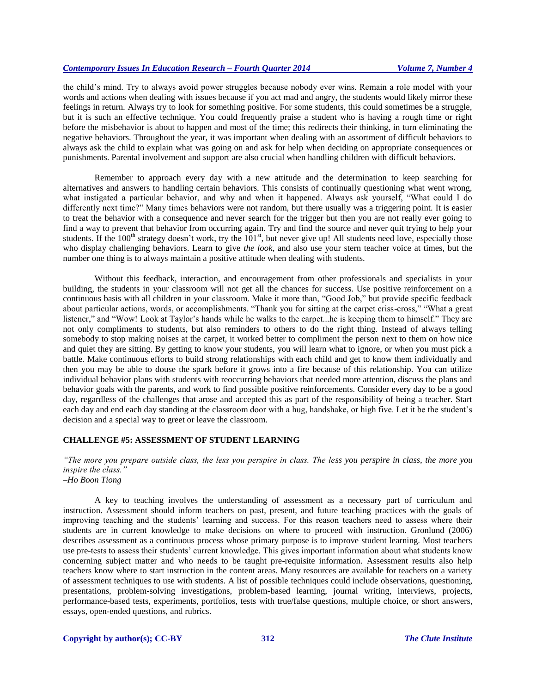the child's mind. Try to always avoid power struggles because nobody ever wins. Remain a role model with your words and actions when dealing with issues because if you act mad and angry, the students would likely mirror these feelings in return. Always try to look for something positive. For some students, this could sometimes be a struggle, but it is such an effective technique. You could frequently praise a student who is having a rough time or right before the misbehavior is about to happen and most of the time; this redirects their thinking, in turn eliminating the negative behaviors. Throughout the year, it was important when dealing with an assortment of difficult behaviors to always ask the child to explain what was going on and ask for help when deciding on appropriate consequences or punishments. Parental involvement and support are also crucial when handling children with difficult behaviors.

Remember to approach every day with a new attitude and the determination to keep searching for alternatives and answers to handling certain behaviors. This consists of continually questioning what went wrong, what instigated a particular behavior, and why and when it happened. Always ask yourself, "What could I do differently next time?" Many times behaviors were not random, but there usually was a triggering point. It is easier to treat the behavior with a consequence and never search for the trigger but then you are not really ever going to find a way to prevent that behavior from occurring again. Try and find the source and never quit trying to help your students. If the  $100<sup>th</sup>$  strategy doesn't work, try the  $101<sup>st</sup>$ , but never give up! All students need love, especially those who display challenging behaviors. Learn to give *the look*, and also use your stern teacher voice at times, but the number one thing is to always maintain a positive attitude when dealing with students.

Without this feedback, interaction, and encouragement from other professionals and specialists in your building, the students in your classroom will not get all the chances for success. Use positive reinforcement on a continuous basis with all children in your classroom. Make it more than, "Good Job," but provide specific feedback about particular actions, words, or accomplishments. "Thank you for sitting at the carpet criss-cross," "What a great listener," and "Wow! Look at Taylor's hands while he walks to the carpet...he is keeping them to himself." They are not only compliments to students, but also reminders to others to do the right thing. Instead of always telling somebody to stop making noises at the carpet, it worked better to compliment the person next to them on how nice and quiet they are sitting. By getting to know your students, you will learn what to ignore, or when you must pick a battle. Make continuous efforts to build strong relationships with each child and get to know them individually and then you may be able to douse the spark before it grows into a fire because of this relationship. You can utilize individual behavior plans with students with reoccurring behaviors that needed more attention, discuss the plans and behavior goals with the parents, and work to find possible positive reinforcements. Consider every day to be a good day, regardless of the challenges that arose and accepted this as part of the responsibility of being a teacher. Start each day and end each day standing at the classroom door with a hug, handshake, or high five. Let it be the student's decision and a special way to greet or leave the classroom.

# **CHALLENGE #5: ASSESSMENT OF STUDENT LEARNING**

*"The more you prepare outside class, the less you perspire in class. The less you perspire in class, the more you inspire the class." –Ho Boon Tiong*

A key to teaching involves the understanding of assessment as a necessary part of curriculum and instruction. Assessment should inform teachers on past, present, and future teaching practices with the goals of improving teaching and the students' learning and success. For this reason teachers need to assess where their students are in current knowledge to make decisions on where to proceed with instruction. Gronlund (2006) describes assessment as a continuous process whose primary purpose is to improve student learning. Most teachers use pre-tests to assess their students' current knowledge. This gives important information about what students know concerning subject matter and who needs to be taught pre-requisite information. Assessment results also help teachers know where to start instruction in the content areas. Many resources are available for teachers on a variety of assessment techniques to use with students. A list of possible techniques could include observations, questioning, presentations, problem-solving investigations, problem-based learning, journal writing, interviews, projects, performance-based tests, experiments, portfolios, tests with true/false questions, multiple choice, or short answers, essays, open-ended questions, and rubrics.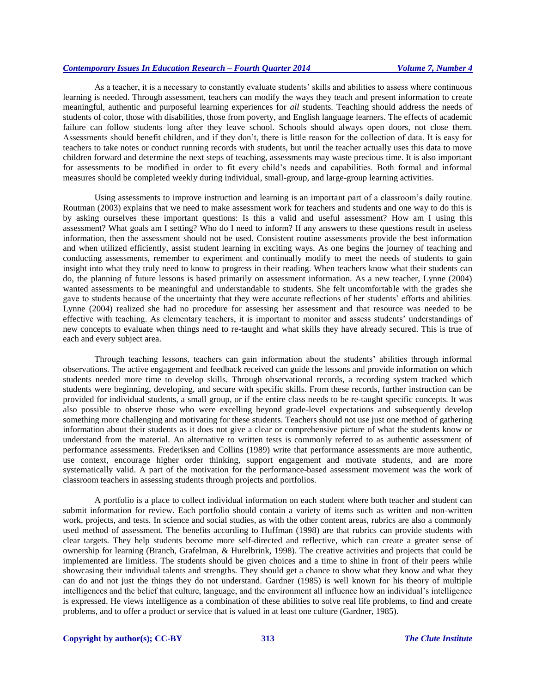As a teacher, it is a necessary to constantly evaluate students' skills and abilities to assess where continuous learning is needed. Through assessment, teachers can modify the ways they teach and present information to create meaningful, authentic and purposeful learning experiences for *all* students. Teaching should address the needs of students of color, those with disabilities, those from poverty, and English language learners. The effects of academic failure can follow students long after they leave school. Schools should always open doors, not close them. Assessments should benefit children, and if they don't, there is little reason for the collection of data. It is easy for teachers to take notes or conduct running records with students, but until the teacher actually uses this data to move children forward and determine the next steps of teaching, assessments may waste precious time. It is also important for assessments to be modified in order to fit every child's needs and capabilities. Both formal and informal measures should be completed weekly during individual, small-group, and large-group learning activities.

Using assessments to improve instruction and learning is an important part of a classroom's daily routine. Routman (2003) explains that we need to make assessment work for teachers and students and one way to do this is by asking ourselves these important questions: Is this a valid and useful assessment? How am I using this assessment? What goals am I setting? Who do I need to inform? If any answers to these questions result in useless information, then the assessment should not be used. Consistent routine assessments provide the best information and when utilized efficiently, assist student learning in exciting ways. As one begins the journey of teaching and conducting assessments, remember to experiment and continually modify to meet the needs of students to gain insight into what they truly need to know to progress in their reading. When teachers know what their students can do, the planning of future lessons is based primarily on assessment information. As a new teacher, Lynne (2004) wanted assessments to be meaningful and understandable to students. She felt uncomfortable with the grades she gave to students because of the uncertainty that they were accurate reflections of her students' efforts and abilities. Lynne (2004) realized she had no procedure for assessing her assessment and that resource was needed to be effective with teaching. As elementary teachers, it is important to monitor and assess students' understandings of new concepts to evaluate when things need to re-taught and what skills they have already secured. This is true of each and every subject area.

Through teaching lessons, teachers can gain information about the students' abilities through informal observations. The active engagement and feedback received can guide the lessons and provide information on which students needed more time to develop skills. Through observational records, a recording system tracked which students were beginning, developing, and secure with specific skills. From these records, further instruction can be provided for individual students, a small group, or if the entire class needs to be re-taught specific concepts. It was also possible to observe those who were excelling beyond grade-level expectations and subsequently develop something more challenging and motivating for these students. Teachers should not use just one method of gathering information about their students as it does not give a clear or comprehensive picture of what the students know or understand from the material. An alternative to written tests is commonly referred to as authentic assessment of performance assessments. Frederiksen and Collins (1989) write that performance assessments are more authentic, use context, encourage higher order thinking, support engagement and motivate students, and are more systematically valid. A part of the motivation for the performance-based assessment movement was the work of classroom teachers in assessing students through projects and portfolios.

A portfolio is a place to collect individual information on each student where both teacher and student can submit information for review. Each portfolio should contain a variety of items such as written and non-written work, projects, and tests. In science and social studies, as with the other content areas, rubrics are also a commonly used method of assessment. The benefits according to Huffman (1998) are that rubrics can provide students with clear targets. They help students become more self-directed and reflective, which can create a greater sense of ownership for learning (Branch, Grafelman, & Hurelbrink, 1998). The creative activities and projects that could be implemented are limitless. The students should be given choices and a time to shine in front of their peers while showcasing their individual talents and strengths. They should get a chance to show what they know and what they can do and not just the things they do not understand. Gardner (1985) is well known for his theory of multiple intelligences and the belief that culture, language, and the environment all influence how an individual's intelligence is expressed. He views intelligence as a combination of these abilities to solve real life problems, to find and create problems, and to offer a product or service that is valued in at least one culture (Gardner, 1985).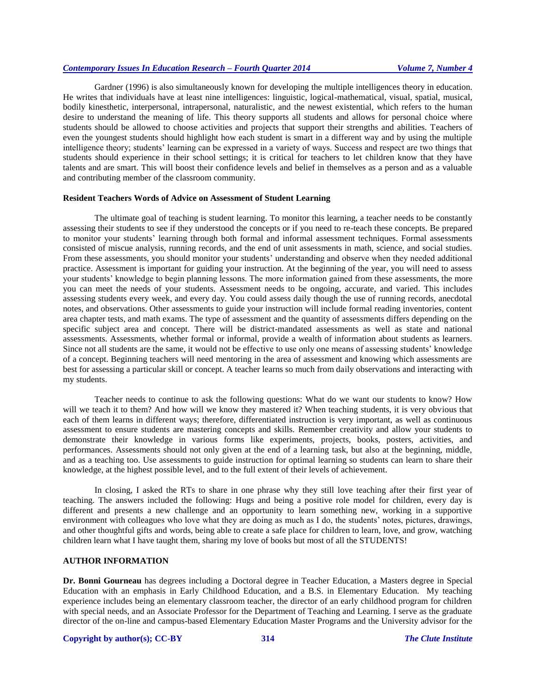Gardner (1996) is also simultaneously known for developing the multiple intelligences theory in education. He writes that individuals have at least nine intelligences: linguistic, logical-mathematical, visual, spatial, musical, bodily kinesthetic, interpersonal, intrapersonal, naturalistic, and the newest existential, which refers to the human desire to understand the meaning of life. This theory supports all students and allows for personal choice where students should be allowed to choose activities and projects that support their strengths and abilities. Teachers of even the youngest students should highlight how each student is smart in a different way and by using the multiple intelligence theory; students' learning can be expressed in a variety of ways. Success and respect are two things that students should experience in their school settings; it is critical for teachers to let children know that they have talents and are smart. This will boost their confidence levels and belief in themselves as a person and as a valuable and contributing member of the classroom community.

# **Resident Teachers Words of Advice on Assessment of Student Learning**

The ultimate goal of teaching is student learning. To monitor this learning, a teacher needs to be constantly assessing their students to see if they understood the concepts or if you need to re-teach these concepts. Be prepared to monitor your students' learning through both formal and informal assessment techniques. Formal assessments consisted of miscue analysis, running records, and the end of unit assessments in math, science, and social studies. From these assessments, you should monitor your students' understanding and observe when they needed additional practice. Assessment is important for guiding your instruction. At the beginning of the year, you will need to assess your students' knowledge to begin planning lessons. The more information gained from these assessments, the more you can meet the needs of your students. Assessment needs to be ongoing, accurate, and varied. This includes assessing students every week, and every day. You could assess daily though the use of running records, anecdotal notes, and observations. Other assessments to guide your instruction will include formal reading inventories, content area chapter tests, and math exams. The type of assessment and the quantity of assessments differs depending on the specific subject area and concept. There will be district-mandated assessments as well as state and national assessments. Assessments, whether formal or informal, provide a wealth of information about students as learners. Since not all students are the same, it would not be effective to use only one means of assessing students' knowledge of a concept. Beginning teachers will need mentoring in the area of assessment and knowing which assessments are best for assessing a particular skill or concept. A teacher learns so much from daily observations and interacting with my students.

Teacher needs to continue to ask the following questions: What do we want our students to know? How will we teach it to them? And how will we know they mastered it? When teaching students, it is very obvious that each of them learns in different ways; therefore, differentiated instruction is very important, as well as continuous assessment to ensure students are mastering concepts and skills. Remember creativity and allow your students to demonstrate their knowledge in various forms like experiments, projects, books, posters, activities, and performances. Assessments should not only given at the end of a learning task, but also at the beginning, middle, and as a teaching too. Use assessments to guide instruction for optimal learning so students can learn to share their knowledge, at the highest possible level, and to the full extent of their levels of achievement.

In closing, I asked the RTs to share in one phrase why they still love teaching after their first year of teaching. The answers included the following: Hugs and being a positive role model for children, every day is different and presents a new challenge and an opportunity to learn something new, working in a supportive environment with colleagues who love what they are doing as much as I do, the students' notes, pictures, drawings, and other thoughtful gifts and words, being able to create a safe place for children to learn, love, and grow, watching children learn what I have taught them, sharing my love of books but most of all the STUDENTS!

## **AUTHOR INFORMATION**

**Dr. Bonni Gourneau** has degrees including a Doctoral degree in Teacher Education, a Masters degree in Special Education with an emphasis in Early Childhood Education, and a B.S. in Elementary Education. My teaching experience includes being an elementary classroom teacher, the director of an early childhood program for children with special needs, and an Associate Professor for the Department of Teaching and Learning. I serve as the graduate director of the on-line and campus-based Elementary Education Master Programs and the University advisor for the

#### **Copyright by author(s)[; CC-BY](http://creativecommons.org/licenses/by/3.0/) 314** *[The Clute Institute](http://www.cluteinstitute.com/)*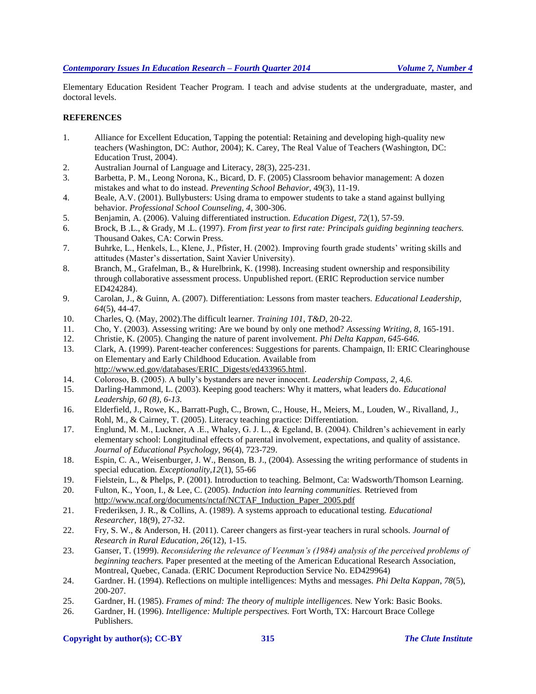Elementary Education Resident Teacher Program. I teach and advise students at the undergraduate, master, and doctoral levels.

## **REFERENCES**

- 1. Alliance for Excellent Education, Tapping the potential: Retaining and developing high-quality new teachers (Washington, DC: Author, 2004); K. Carey, The Real Value of Teachers (Washington, DC: Education Trust, 2004).
- 2. Australian Journal of Language and Literacy*,* 28(3), 225-231.
- 3. Barbetta, P. M., Leong Norona, K., Bicard, D. F. (2005) Classroom behavior management: A dozen mistakes and what to do instead. *Preventing School Behavior,* 49(3), 11-19.
- 4. Beale, A.V. (2001). Bullybusters: Using drama to empower students to take a stand against bullying behavior. *Professional School Counseling, 4*, 300-306.
- 5. Benjamin, A. (2006). Valuing differentiated instruction. *Education Digest, 72*(1), 57-59.
- 6. Brock, B .L., & Grady, M .L. (1997). *From first year to first rate: Principals guiding beginning teachers.*  Thousand Oakes, CA: Corwin Press.
- 7. Buhrke, L., Henkels, L., Klene, J., Pfister, H. (2002). Improving fourth grade students' writing skills and attitudes (Master's dissertation, Saint Xavier University).
- 8. Branch, M., Grafelman, B., & Hurelbrink, K. (1998). Increasing student ownership and responsibility through collaborative assessment process. Unpublished report. (ERIC Reproduction service number ED424284).
- 9. Carolan, J., & Guinn, A. (2007). Differentiation: Lessons from master teachers. *Educational Leadership, 64*(5), 44-47.
- 10. Charles, Q. (May, 2002).The difficult learner. *Training 101, T&D*, 20-22.
- 11. Cho, Y. (2003). Assessing writing: Are we bound by only one method? *Assessing Writing, 8,* 165-191.
- 12. Christie, K. (2005). Changing the nature of parent involvement. *Phi Delta Kappan, 645-646.*
- 13. Clark, A. (1999). Parent-teacher conferences: Suggestions for parents. Champaign, Il: ERIC Clearinghouse on Elementary and Early Childhood Education. Available from http://www.ed.gov/databases/ERIC\_Digests/ed433965.html.
- 14. Coloroso, B. (2005). A bully's bystanders are never innocent. *Leadership Compass, 2*, 4,6.
- 15. Darling-Hammond, L. (2003). Keeping good teachers: Why it matters, what leaders do. *Educational Leadership, 60 (8), 6-13.*
- 16. Elderfield, J., Rowe, K., Barratt-Pugh, C., Brown, C., House, H., Meiers, M., Louden, W., Rivalland, J., Rohl, M., & Cairney, T. (2005). Literacy teaching practice: Differentiation.
- 17. Englund, M. M., Luckner, A .E., Whaley, G. J. L., & Egeland, B. (2004). Children's achievement in early elementary school: Longitudinal effects of parental involvement, expectations, and quality of assistance. *Journal of Educational Psychology, 96*(4), 723-729.
- 18. Espin, C. A., Weisenburger, J. W., Benson, B. J., (2004). Assessing the writing performance of students in special education. *Exceptionality,12*(1), 55-66
- 19. Fielstein, L., & Phelps, P. (2001). Introduction to teaching. Belmont, Ca: Wadsworth/Thomson Learning.
- 20. Fulton, K., Yoon, I., & Lee, C. (2005). *Induction into learning communities.* Retrieved from [http://www.ncaf.org/documents/nctaf/NCTAF\\_Induction\\_Paper\\_2005.pdf](http://www.ncaf.org/documents/nctaf/NCTAF_Induction_Paper_2005.pdf)
- 21. Frederiksen, J. R., & Collins, A. (1989). A systems approach to educational testing. *Educational Researcher,* 18(9), 27-32.
- 22. Fry, S. W., & Anderson, H. (2011). Career changers as first-year teachers in rural schools. *Journal of Research in Rural Education, 26*(12), 1-15.
- 23. Ganser, T. (1999). *Reconsidering the relevance of Veenman's (1984) analysis of the perceived problems of beginning teachers.* Paper presented at the meeting of the American Educational Research Association, Montreal, Quebec, Canada. (ERIC Document Reproduction Service No. ED429964)
- 24. Gardner. H. (1994). Reflections on multiple intelligences: Myths and messages. *Phi Delta Kappan, 78*(5), 200-207.
- 25. Gardner, H. (1985). *Frames of mind: The theory of multiple intelligences.* New York: Basic Books.
- 26. Gardner, H. (1996). *Intelligence: Multiple perspectives.* Fort Worth, TX: Harcourt Brace College Publishers.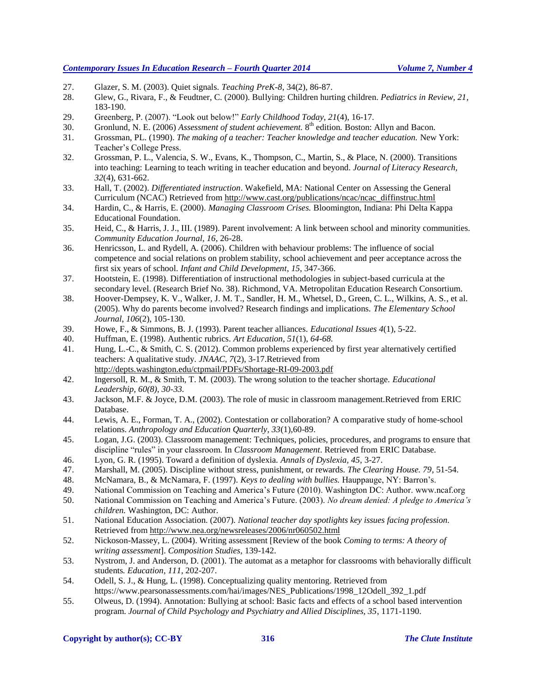- 27. Glazer, S. M. (2003). Quiet signals. *Teaching PreK-8*, 34(2), 86-87.
- 28. Glew, G., Rivara, F., & Feudtner, C. (2000). Bullying: Children hurting children. *Pediatrics in Review, 21*, 183-190.
- 29. Greenberg, P. (2007). "Look out below!" *Early Childhood Today, 21*(4), 16-17.
- 30. Gronlund, N. E. (2006) *Assessment of student achievement.* 8 th edition*.* Boston: Allyn and Bacon.
- 31. Grossman, PL. (1990). *The making of a teacher: Teacher knowledge and teacher education.* New York: Teacher's College Press.
- 32. Grossman, P. L., Valencia, S. W., Evans, K., Thompson, C., Martin, S., & Place, N. (2000). Transitions into teaching: Learning to teach writing in teacher education and beyond. *Journal of Literacy Research, 32*(4), 631-662.
- 33. Hall, T. (2002). *Differentiated instruction*. Wakefield, MA: National Center on Assessing the General Curriculum (NCAC) Retrieved from [http://www.cast.org/publications/ncac/ncac\\_diffinstruc.html](http://www.cast.org/publications/ncac/ncac_diffinstruc.html)
- 34. Hardin, C., & Harris, E. (2000). *Managing Classroom Crises.* Bloomington, Indiana: Phi Delta Kappa Educational Foundation.
- 35. Heid, C., & Harris, J. J., III. (1989). Parent involvement: A link between school and minority communities. *Community Education Journal, 16*, 26-28.
- 36. Henricsson, L. and Rydell, A. (2006). Children with behaviour problems: The influence of social competence and social relations on problem stability, school achievement and peer acceptance across the first six years of school. *Infant and Child Development*, *15*, 347-366.
- 37. Hootstein, E. (1998). Differentiation of instructional methodologies in subject-based curricula at the secondary level. (Research Brief No. 38). Richmond, VA. Metropolitan Education Research Consortium.
- 38. Hoover-Dempsey, K. V., Walker, J. M. T., Sandler, H. M., Whetsel, D., Green, C. L., Wilkins, A. S., et al. (2005). Why do parents become involved? Research findings and implications. *The Elementary School Journal*, *106*(2), 105-130.
- 39. Howe, F., & Simmons, B. J. (1993). Parent teacher alliances. *Educational Issues 4*(1), 5-22.
- 40. Huffman, E. (1998). Authentic rubrics. *Art Education, 51*(1), *64-68.*
- 41. Hung, L.-C., & Smith, C. S. (2012). Common problems experienced by first year alternatively certified teachers: A qualitative study. *JNAAC, 7*(2), 3-17.Retrieved from http://depts.washington.edu/ctpmail/PDFs/Shortage-RI-09-2003.pdf
- 42. Ingersoll, R. M., & Smith, T. M. (2003). The wrong solution to the teacher shortage. *Educational Leadership, 60(8), 30-33.*
- 43. Jackson, M.F. & Joyce, D.M. (2003). The role of music in classroom management.Retrieved from ERIC Database.
- 44. Lewis, A. E., Forman, T. A., (2002). Contestation or collaboration? A comparative study of home-school relations. *Anthropology and Education Quarterly, 33*(1),60-89.
- 45. Logan, J.G. (2003). Classroom management: Techniques, policies, procedures, and programs to ensure that discipline "rules" in your classroom. In *Classroom Management*. Retrieved from ERIC Database.
- 46. Lyon, G. R. (1995). Toward a definition of dyslexia. *Annals of Dyslexia, 45*, 3-27.
- 47. Marshall, M. (2005). Discipline without stress, punishment, or rewards. *The Clearing House. 79*, 51-54.
- 48. McNamara, B., & McNamara, F. (1997). *Keys to dealing with bullies.* Hauppauge, NY: Barron's.
- 49. National Commission on Teaching and America's Future (2010). Washington DC: Author. www.ncaf.org
- 50. National Commission on Teaching and America's Future. (2003). *No dream denied: A pledge to America's children.* Washington, DC: Author.
- 51. National Education Association. (2007). *National teacher day spotlights key issues facing profession.*  Retrieved from http://www.nea.org/newsreleases/2006/nr060502.html
- 52. Nickoson-Massey, L. (2004). Writing assessment [Review of the book *Coming to terms: A theory of writing assessment*]. *Composition Studies,* 139-142.
- 53. Nystrom, J. and Anderson, D. (2001). The automat as a metaphor for classrooms with behaviorally difficult students*. Education*, *111*, 202-207.
- 54. Odell, S. J., & Hung, L. (1998). Conceptualizing quality mentoring. Retrieved from https://www.pearsonassessments.com/hai/images/NES\_Publications/1998\_12Odell\_392\_1.pdf
- 55. Olweus, D. (1994). Annotation: Bullying at school: Basic facts and effects of a school based intervention program. *Journal of Child Psychology and Psychiatry and Allied Disciplines, 35*, 1171-1190.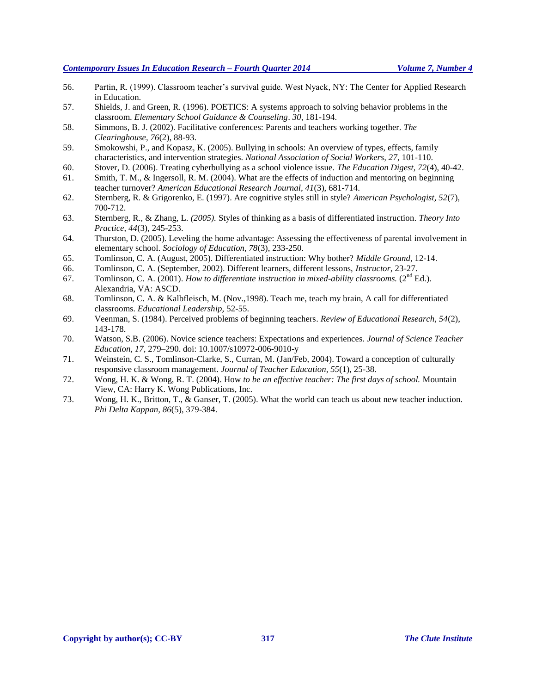- 56. Partin, R. (1999). Classroom teacher's survival guide. West Nyack, NY: The Center for Applied Research in Education.
- 57. Shields, J. and Green, R. (1996). POETICS: A systems approach to solving behavior problems in the classroom. *Elementary School Guidance & Counseling*. *30*, 181-194.
- 58. Simmons, B. J. (2002). Facilitative conferences: Parents and teachers working together. *The Clearinghouse, 76*(2), 88-93.
- 59. Smokowshi, P., and Kopasz, K. (2005). Bullying in schools: An overview of types, effects, family characteristics, and intervention strategies. *National Association of Social Workers, 27*, 101-110.
- 60. Stover, D. (2006). Treating cyberbullying as a school violence issue. *The Education Digest, 72*(4), 40-42.
- 61. Smith, T. M., & Ingersoll, R. M. (2004). What are the effects of induction and mentoring on beginning teacher turnover? *American Educational Research Journal, 41*(3), 681-714.
- 62. Sternberg, R. & Grigorenko, E. (1997). Are cognitive styles still in style? *American Psychologist, 52*(7), 700-712.
- 63. Sternberg, R., & Zhang, L*. (2005).* Styles of thinking as a basis of differentiated instruction*. Theory Into Practice, 44*(3), 245-253.
- 64. Thurston, D. (2005). Leveling the home advantage: Assessing the effectiveness of parental involvement in elementary school. *Sociology of Education, 78*(3), 233-250.
- 65. Tomlinson, C. A. (August, 2005). Differentiated instruction: Why bother? *Middle Ground,* 12-14.
- 66. Tomlinson, C. A. (September, 2002). Different learners, different lessons, *Instructor,* 23-27.
- 67. Tomlinson, C. A. (2001). *How to differentiate instruction in mixed-ability classrooms.* (2nd Ed.). Alexandria, VA: ASCD.
- 68. Tomlinson, C. A. & Kalbfleisch, M. (Nov.,1998). Teach me, teach my brain, A call for differentiated classrooms. *Educational Leadership,* 52-55.
- 69. Veenman, S. (1984). Perceived problems of beginning teachers. *Review of Educational Research, 54*(2), 143-178.
- 70. Watson, S.B. (2006). Novice science teachers: Expectations and experiences. *Journal of Science Teacher Education, 17*, 279–290. doi: 10.1007/s10972-006-9010-y
- 71. Weinstein, C. S., Tomlinson-Clarke, S., Curran, M. (Jan/Feb, 2004). Toward a conception of culturally responsive classroom management. *Journal of Teacher Education, 55*(1), 25-38.
- 72. Wong, H. K. & Wong, R. T. (2004). How *to be an effective teacher: The first days of school.* Mountain View, CA: Harry K. Wong Publications, Inc.
- 73. Wong, H. K., Britton, T., & Ganser, T. (2005). What the world can teach us about new teacher induction. *Phi Delta Kappan, 86*(5), 379-384.